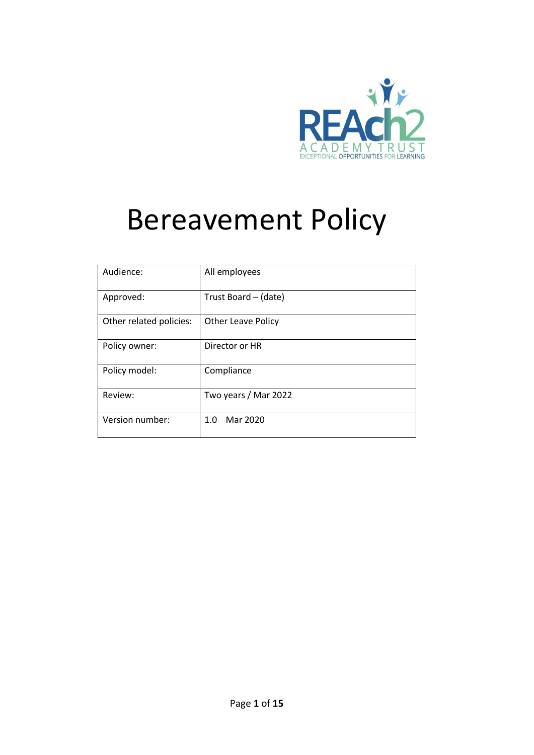

# Bereavement Policy

| Audience:               | All employees             |
|-------------------------|---------------------------|
| Approved:               | Trust Board – (date)      |
| Other related policies: | <b>Other Leave Policy</b> |
| Policy owner:           | Director or HR            |
| Policy model:           | Compliance                |
| Review:                 | Two years / Mar 2022      |
| Version number:         | Mar 2020<br>1.0           |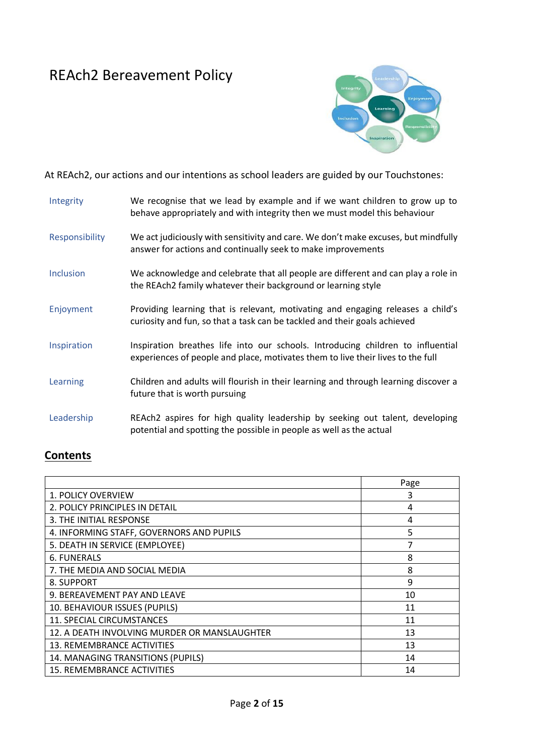# REAch2 Bereavement Policy



At REAch2, our actions and our intentions as school leaders are guided by our Touchstones:

| Integrity             | We recognise that we lead by example and if we want children to grow up to<br>behave appropriately and with integrity then we must model this behaviour            |
|-----------------------|--------------------------------------------------------------------------------------------------------------------------------------------------------------------|
| <b>Responsibility</b> | We act judiciously with sensitivity and care. We don't make excuses, but mindfully<br>answer for actions and continually seek to make improvements                 |
| Inclusion             | We acknowledge and celebrate that all people are different and can play a role in<br>the REAch2 family whatever their background or learning style                 |
| Enjoyment             | Providing learning that is relevant, motivating and engaging releases a child's<br>curiosity and fun, so that a task can be tackled and their goals achieved       |
| Inspiration           | Inspiration breathes life into our schools. Introducing children to influential<br>experiences of people and place, motivates them to live their lives to the full |
| Learning              | Children and adults will flourish in their learning and through learning discover a<br>future that is worth pursuing                                               |
| Leadership            | REAch2 aspires for high quality leadership by seeking out talent, developing<br>potential and spotting the possible in people as well as the actual                |

# **Contents**

|                                              | Page |
|----------------------------------------------|------|
| <b>1. POLICY OVERVIEW</b>                    | 3    |
| 2. POLICY PRINCIPLES IN DETAIL               | 4    |
| 3. THE INITIAL RESPONSE                      | 4    |
| 4. INFORMING STAFF, GOVERNORS AND PUPILS     | 5    |
| 5. DEATH IN SERVICE (EMPLOYEE)               | 7    |
| <b>6. FUNERALS</b>                           | 8    |
| 7. THE MEDIA AND SOCIAL MEDIA                | 8    |
| 8. SUPPORT                                   | 9    |
| 9. BEREAVEMENT PAY AND LEAVE                 | 10   |
| 10. BEHAVIOUR ISSUES (PUPILS)                | 11   |
| 11. SPECIAL CIRCUMSTANCES                    | 11   |
| 12. A DEATH INVOLVING MURDER OR MANSLAUGHTER | 13   |
| 13. REMEMBRANCE ACTIVITIES                   | 13   |
| 14. MANAGING TRANSITIONS (PUPILS)            | 14   |
| 15. REMEMBRANCE ACTIVITIES                   | 14   |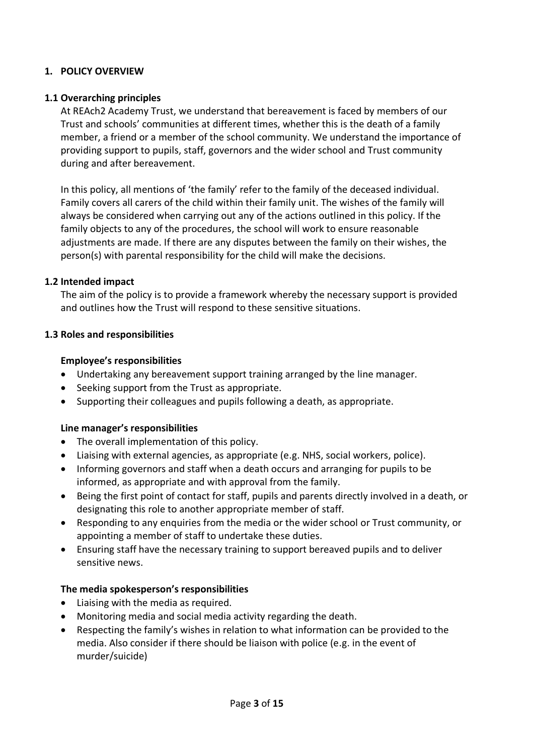#### **1. POLICY OVERVIEW**

#### **1.1 Overarching principles**

At REAch2 Academy Trust, we understand that bereavement is faced by members of our Trust and schools' communities at different times, whether this is the death of a family member, a friend or a member of the school community. We understand the importance of providing support to pupils, staff, governors and the wider school and Trust community during and after bereavement.

In this policy, all mentions of 'the family' refer to the family of the deceased individual. Family covers all carers of the child within their family unit. The wishes of the family will always be considered when carrying out any of the actions outlined in this policy. If the family objects to any of the procedures, the school will work to ensure reasonable adjustments are made. If there are any disputes between the family on their wishes, the person(s) with parental responsibility for the child will make the decisions.

#### **1.2 Intended impact**

The aim of the policy is to provide a framework whereby the necessary support is provided and outlines how the Trust will respond to these sensitive situations.

#### **1.3 Roles and responsibilities**

#### **Employee's responsibilities**

- Undertaking any bereavement support training arranged by the line manager.
- Seeking support from the Trust as appropriate.
- Supporting their colleagues and pupils following a death, as appropriate.

#### **Line manager's responsibilities**

- The overall implementation of this policy.
- Liaising with external agencies, as appropriate (e.g. NHS, social workers, police).
- Informing governors and staff when a death occurs and arranging for pupils to be informed, as appropriate and with approval from the family.
- Being the first point of contact for staff, pupils and parents directly involved in a death, or designating this role to another appropriate member of staff.
- Responding to any enquiries from the media or the wider school or Trust community, or appointing a member of staff to undertake these duties.
- Ensuring staff have the necessary training to support bereaved pupils and to deliver sensitive news.

#### **The media spokesperson's responsibilities**

- Liaising with the media as required.
- Monitoring media and social media activity regarding the death.
- Respecting the family's wishes in relation to what information can be provided to the media. Also consider if there should be liaison with police (e.g. in the event of murder/suicide)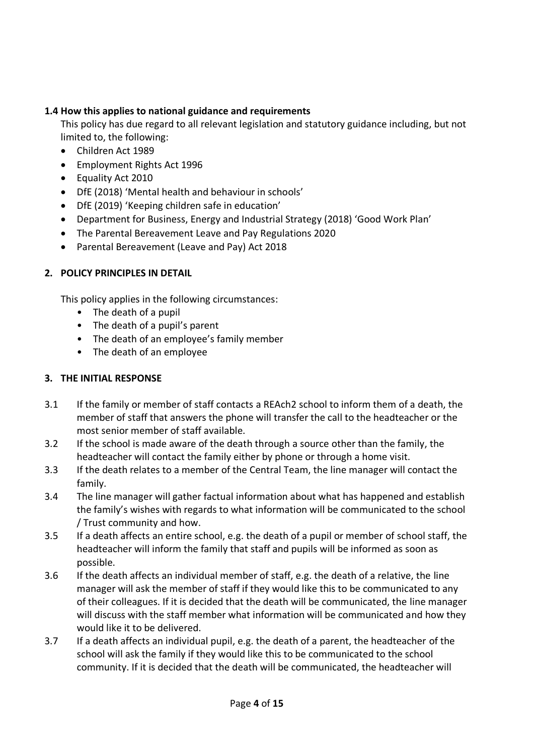# **1.4 How this applies to national guidance and requirements**

This policy has due regard to all relevant legislation and statutory guidance including, but not limited to, the following:

- Children Act 1989
- Employment Rights Act 1996
- Equality Act 2010
- DfE (2018) 'Mental health and behaviour in schools'
- DfE (2019) 'Keeping children safe in education'
- Department for Business, Energy and Industrial Strategy (2018) 'Good Work Plan'
- The Parental Bereavement Leave and Pay Regulations 2020
- Parental Bereavement (Leave and Pay) Act 2018

# **2. POLICY PRINCIPLES IN DETAIL**

This policy applies in the following circumstances:

- The death of a pupil
- The death of a pupil's parent
- The death of an employee's family member
- The death of an employee

# **3. THE INITIAL RESPONSE**

- 3.1 If the family or member of staff contacts a REAch2 school to inform them of a death, the member of staff that answers the phone will transfer the call to the headteacher or the most senior member of staff available.
- 3.2 If the school is made aware of the death through a source other than the family, the headteacher will contact the family either by phone or through a home visit.
- 3.3 If the death relates to a member of the Central Team, the line manager will contact the family.
- 3.4 The line manager will gather factual information about what has happened and establish the family's wishes with regards to what information will be communicated to the school / Trust community and how.
- 3.5 If a death affects an entire school, e.g. the death of a pupil or member of school staff, the headteacher will inform the family that staff and pupils will be informed as soon as possible.
- 3.6 If the death affects an individual member of staff, e.g. the death of a relative, the line manager will ask the member of staff if they would like this to be communicated to any of their colleagues. If it is decided that the death will be communicated, the line manager will discuss with the staff member what information will be communicated and how they would like it to be delivered.
- 3.7 If a death affects an individual pupil, e.g. the death of a parent, the headteacher of the school will ask the family if they would like this to be communicated to the school community. If it is decided that the death will be communicated, the headteacher will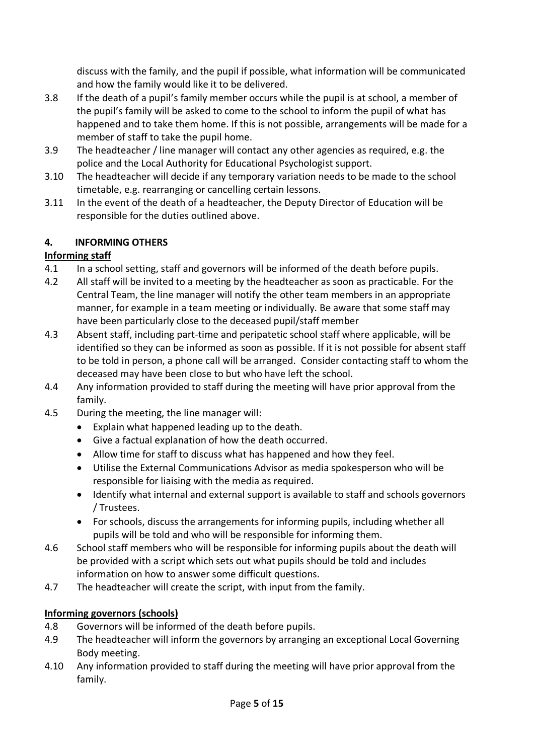discuss with the family, and the pupil if possible, what information will be communicated and how the family would like it to be delivered.

- 3.8 If the death of a pupil's family member occurs while the pupil is at school, a member of the pupil's family will be asked to come to the school to inform the pupil of what has happened and to take them home. If this is not possible, arrangements will be made for a member of staff to take the pupil home.
- 3.9 The headteacher / line manager will contact any other agencies as required, e.g. the police and the Local Authority for Educational Psychologist support.
- 3.10 The headteacher will decide if any temporary variation needs to be made to the school timetable, e.g. rearranging or cancelling certain lessons.
- 3.11 In the event of the death of a headteacher, the Deputy Director of Education will be responsible for the duties outlined above.

# **4. INFORMING OTHERS**

# **Informing staff**

- 4.1 In a school setting, staff and governors will be informed of the death before pupils.
- 4.2 All staff will be invited to a meeting by the headteacher as soon as practicable. For the Central Team, the line manager will notify the other team members in an appropriate manner, for example in a team meeting or individually. Be aware that some staff may have been particularly close to the deceased pupil/staff member
- 4.3 Absent staff, including part-time and peripatetic school staff where applicable, will be identified so they can be informed as soon as possible. If it is not possible for absent staff to be told in person, a phone call will be arranged. Consider contacting staff to whom the deceased may have been close to but who have left the school.
- 4.4 Any information provided to staff during the meeting will have prior approval from the family.
- 4.5 During the meeting, the line manager will:
	- Explain what happened leading up to the death.
	- Give a factual explanation of how the death occurred.
	- Allow time for staff to discuss what has happened and how they feel.
	- Utilise the External Communications Advisor as media spokesperson who will be responsible for liaising with the media as required.
	- Identify what internal and external support is available to staff and schools governors / Trustees.
	- For schools, discuss the arrangements for informing pupils, including whether all pupils will be told and who will be responsible for informing them.
- 4.6 School staff members who will be responsible for informing pupils about the death will be provided with a script which sets out what pupils should be told and includes information on how to answer some difficult questions.
- 4.7 The headteacher will create the script, with input from the family.

# **Informing governors (schools)**

- 4.8 Governors will be informed of the death before pupils.
- 4.9 The headteacher will inform the governors by arranging an exceptional Local Governing Body meeting.
- 4.10 Any information provided to staff during the meeting will have prior approval from the family.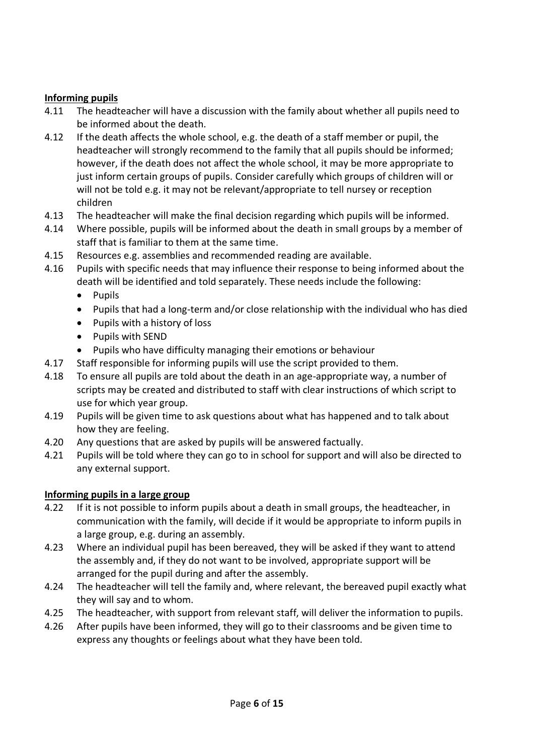# **Informing pupils**

- 4.11 The headteacher will have a discussion with the family about whether all pupils need to be informed about the death.
- 4.12 If the death affects the whole school, e.g. the death of a staff member or pupil, the headteacher will strongly recommend to the family that all pupils should be informed; however, if the death does not affect the whole school, it may be more appropriate to just inform certain groups of pupils. Consider carefully which groups of children will or will not be told e.g. it may not be relevant/appropriate to tell nursey or reception children
- 4.13 The headteacher will make the final decision regarding which pupils will be informed.
- 4.14 Where possible, pupils will be informed about the death in small groups by a member of staff that is familiar to them at the same time.
- 4.15 Resources e.g. assemblies and recommended reading are available.
- 4.16 Pupils with specific needs that may influence their response to being informed about the death will be identified and told separately. These needs include the following:
	- Pupils
	- Pupils that had a long-term and/or close relationship with the individual who has died
	- Pupils with a history of loss
	- Pupils with SEND
	- Pupils who have difficulty managing their emotions or behaviour
- 4.17 Staff responsible for informing pupils will use the script provided to them.
- 4.18 To ensure all pupils are told about the death in an age-appropriate way, a number of scripts may be created and distributed to staff with clear instructions of which script to use for which year group.
- 4.19 Pupils will be given time to ask questions about what has happened and to talk about how they are feeling.
- 4.20 Any questions that are asked by pupils will be answered factually.
- 4.21 Pupils will be told where they can go to in school for support and will also be directed to any external support.

#### **Informing pupils in a large group**

- 4.22 If it is not possible to inform pupils about a death in small groups, the headteacher, in communication with the family, will decide if it would be appropriate to inform pupils in a large group, e.g. during an assembly.
- 4.23 Where an individual pupil has been bereaved, they will be asked if they want to attend the assembly and, if they do not want to be involved, appropriate support will be arranged for the pupil during and after the assembly.
- 4.24 The headteacher will tell the family and, where relevant, the bereaved pupil exactly what they will say and to whom.
- 4.25 The headteacher, with support from relevant staff, will deliver the information to pupils.
- 4.26 After pupils have been informed, they will go to their classrooms and be given time to express any thoughts or feelings about what they have been told.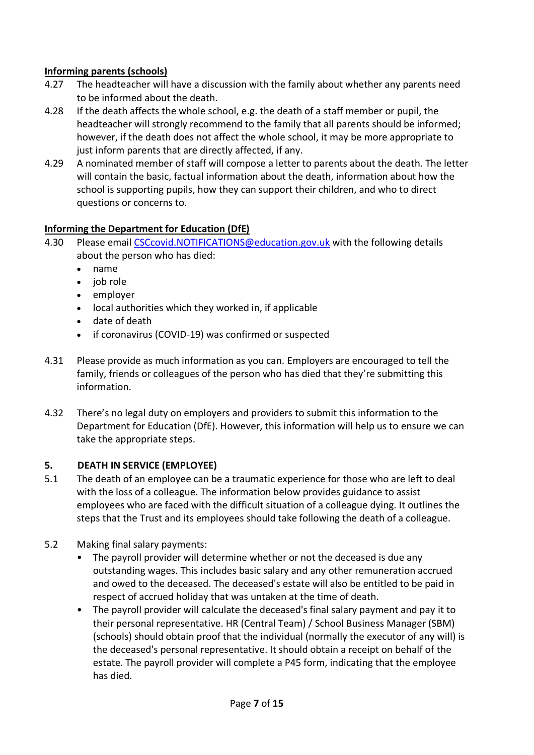# **Informing parents (schools)**

- 4.27 The headteacher will have a discussion with the family about whether any parents need to be informed about the death.
- 4.28 If the death affects the whole school, e.g. the death of a staff member or pupil, the headteacher will strongly recommend to the family that all parents should be informed; however, if the death does not affect the whole school, it may be more appropriate to just inform parents that are directly affected, if any.
- 4.29 A nominated member of staff will compose a letter to parents about the death. The letter will contain the basic, factual information about the death, information about how the school is supporting pupils, how they can support their children, and who to direct questions or concerns to.

# **Informing the Department for Education (DfE)**

- 4.30 Please email [CSCcovid.NOTIFICATIONS@education.gov.uk](mailto:CSCcovid.NOTIFICATIONS@education.gov.uk) with the following details about the person who has died:
	- name
	- iob role
	- employer
	- local authorities which they worked in, if applicable
	- date of death
	- if coronavirus (COVID-19) was confirmed or suspected
- 4.31 Please provide as much information as you can. Employers are encouraged to tell the family, friends or colleagues of the person who has died that they're submitting this information.
- 4.32 There's no legal duty on employers and providers to submit this information to the Department for Education (DfE). However, this information will help us to ensure we can take the appropriate steps.

#### **5. DEATH IN SERVICE (EMPLOYEE)**

- 5.1 The death of an employee can be a traumatic experience for those who are left to deal with the loss of a colleague. The information below provides guidance to assist employees who are faced with the difficult situation of a colleague dying. It outlines the steps that the Trust and its employees should take following the death of a colleague.
- 5.2 Making final salary payments:
	- The payroll provider will determine whether or not the deceased is due any outstanding wages. This includes basic salary and any other remuneration accrued and owed to the deceased. The deceased's estate will also be entitled to be paid in respect of accrued holiday that was untaken at the time of death.
	- The payroll provider will calculate the deceased's final salary payment and pay it to their personal representative. HR (Central Team) / School Business Manager (SBM) (schools) should obtain proof that the individual (normally the executor of any will) is the deceased's personal representative. It should obtain a receipt on behalf of the estate. The payroll provider will complete a P45 form, indicating that the employee has died.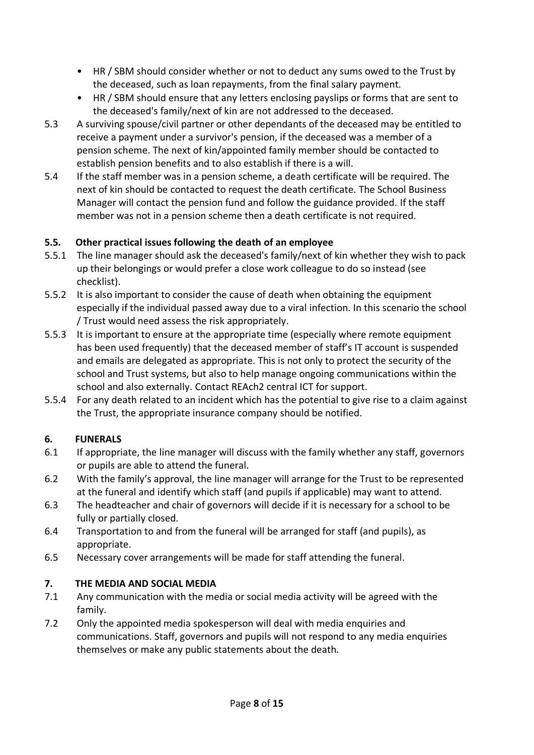- HR / SBM should consider whether or not to deduct any sums owed to the Trust by the deceased, such as loan repayments, from the final salary payment.
- HR / SBM should ensure that any letters enclosing payslips or forms that are sent to the deceased's family/next of kin are not addressed to the deceased.
- 5.3 A surviving spouse/civil partner or other dependants of the deceased may be entitled to receive a payment under a survivor's pension, if the deceased was a member of a pension scheme. The next of kin/appointed family member should be contacted to establish pension benefits and to also establish if there is a will.
- 5.4 If the staff member was in a pension scheme, a death certificate will be required. The next of kin should be contacted to request the death certificate. The School Business Manager will contact the pension fund and follow the guidance provided. If the staff member was not in a pension scheme then a death certificate is not required.

# **5.5. Other practical issues following the death of an employee**

- 5.5.1 The line manager should ask the deceased's family/next of kin whether they wish to pack up their belongings or would prefer a close work colleague to do so instead (see checklist).
- 5.5.2 It is also important to consider the cause of death when obtaining the equipment especially if the individual passed away due to a viral infection. In this scenario the school / Trust would need assess the risk appropriately.
- 5.5.3 It is important to ensure at the appropriate time (especially where remote equipment has been used frequently) that the deceased member of staff's IT account is suspended and emails are delegated as appropriate. This is not only to protect the security of the school and Trust systems, but also to help manage ongoing communications within the school and also externally. Contact REAch2 central ICT for support.
- 5.5.4 For any death related to an incident which has the potential to give rise to a claim against the Trust, the appropriate insurance company should be notified.

# **6. FUNERALS**

- 6.1 If appropriate, the line manager will discuss with the family whether any staff, governors or pupils are able to attend the funeral.
- 6.2 With the family's approval, the line manager will arrange for the Trust to be represented at the funeral and identify which staff (and pupils if applicable) may want to attend.
- 6.3 The headteacher and chair of governors will decide if it is necessary for a school to be fully or partially closed.
- 6.4 Transportation to and from the funeral will be arranged for staff (and pupils), as appropriate.
- 6.5 Necessary cover arrangements will be made for staff attending the funeral.

# **7. THE MEDIA AND SOCIAL MEDIA**

- 7.1 Any communication with the media or social media activity will be agreed with the family.
- 7.2 Only the appointed media spokesperson will deal with media enquiries and communications. Staff, governors and pupils will not respond to any media enquiries themselves or make any public statements about the death.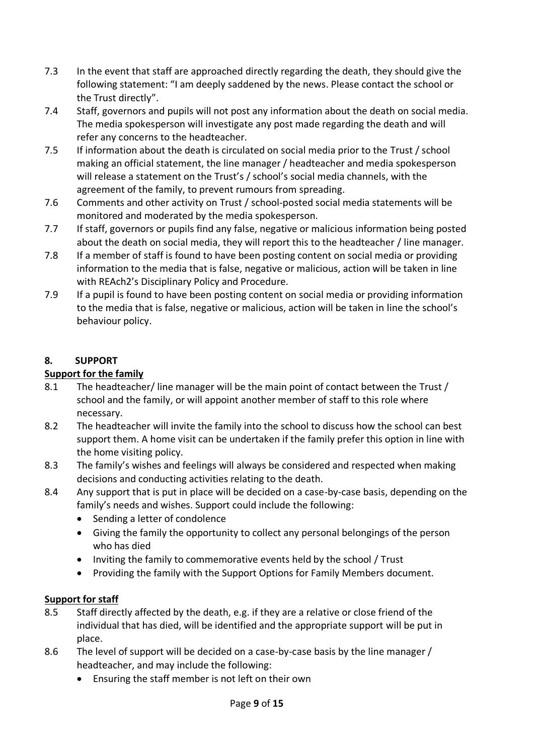- 7.3 In the event that staff are approached directly regarding the death, they should give the following statement: "I am deeply saddened by the news. Please contact the school or the Trust directly".
- 7.4 Staff, governors and pupils will not post any information about the death on social media. The media spokesperson will investigate any post made regarding the death and will refer any concerns to the headteacher.
- 7.5 If information about the death is circulated on social media prior to the Trust / school making an official statement, the line manager / headteacher and media spokesperson will release a statement on the Trust's / school's social media channels, with the agreement of the family, to prevent rumours from spreading.
- 7.6 Comments and other activity on Trust / school-posted social media statements will be monitored and moderated by the media spokesperson.
- 7.7 If staff, governors or pupils find any false, negative or malicious information being posted about the death on social media, they will report this to the headteacher / line manager.
- 7.8 If a member of staff is found to have been posting content on social media or providing information to the media that is false, negative or malicious, action will be taken in line with REAch2's Disciplinary Policy and Procedure.
- 7.9 If a pupil is found to have been posting content on social media or providing information to the media that is false, negative or malicious, action will be taken in line the school's behaviour policy.

# **8. SUPPORT**

# **Support for the family**

- 8.1 The headteacher/ line manager will be the main point of contact between the Trust / school and the family, or will appoint another member of staff to this role where necessary.
- 8.2 The headteacher will invite the family into the school to discuss how the school can best support them. A home visit can be undertaken if the family prefer this option in line with the home visiting policy.
- 8.3 The family's wishes and feelings will always be considered and respected when making decisions and conducting activities relating to the death.
- 8.4 Any support that is put in place will be decided on a case-by-case basis, depending on the family's needs and wishes. Support could include the following:
	- Sending a letter of condolence
	- Giving the family the opportunity to collect any personal belongings of the person who has died
	- Inviting the family to commemorative events held by the school / Trust
	- Providing the family with the Support Options for Family Members document.

# **Support for staff**

- 8.5 Staff directly affected by the death, e.g. if they are a relative or close friend of the individual that has died, will be identified and the appropriate support will be put in place.
- 8.6 The level of support will be decided on a case-by-case basis by the line manager / headteacher, and may include the following:
	- Ensuring the staff member is not left on their own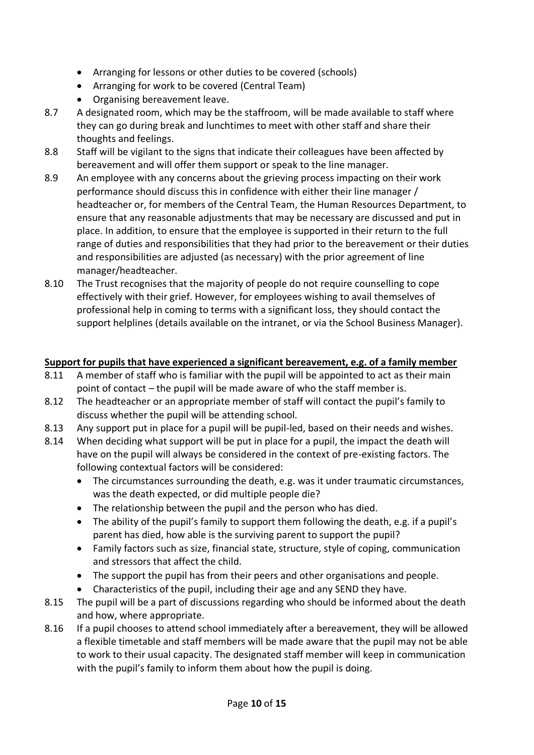- Arranging for lessons or other duties to be covered (schools)
- Arranging for work to be covered (Central Team)
- Organising bereavement leave.
- 8.7 A designated room, which may be the staffroom, will be made available to staff where they can go during break and lunchtimes to meet with other staff and share their thoughts and feelings.
- 8.8 Staff will be vigilant to the signs that indicate their colleagues have been affected by bereavement and will offer them support or speak to the line manager.
- 8.9 An employee with any concerns about the grieving process impacting on their work performance should discuss this in confidence with either their line manager / headteacher or, for members of the Central Team, the Human Resources Department, to ensure that any reasonable adjustments that may be necessary are discussed and put in place. In addition, to ensure that the employee is supported in their return to the full range of duties and responsibilities that they had prior to the bereavement or their duties and responsibilities are adjusted (as necessary) with the prior agreement of line manager/headteacher.
- 8.10 The Trust recognises that the majority of people do not require counselling to cope effectively with their grief. However, for employees wishing to avail themselves of professional help in coming to terms with a significant loss, they should contact the support helplines (details available on the intranet, or via the School Business Manager).

# **Support for pupils that have experienced a significant bereavement, e.g. of a family member**

- 8.11 A member of staff who is familiar with the pupil will be appointed to act as their main point of contact – the pupil will be made aware of who the staff member is.
- 8.12 The headteacher or an appropriate member of staff will contact the pupil's family to discuss whether the pupil will be attending school.
- 8.13 Any support put in place for a pupil will be pupil-led, based on their needs and wishes.
- 8.14 When deciding what support will be put in place for a pupil, the impact the death will have on the pupil will always be considered in the context of pre-existing factors. The following contextual factors will be considered:
	- The circumstances surrounding the death, e.g. was it under traumatic circumstances, was the death expected, or did multiple people die?
	- The relationship between the pupil and the person who has died.
	- The ability of the pupil's family to support them following the death, e.g. if a pupil's parent has died, how able is the surviving parent to support the pupil?
	- Family factors such as size, financial state, structure, style of coping, communication and stressors that affect the child.
	- The support the pupil has from their peers and other organisations and people.
	- Characteristics of the pupil, including their age and any SEND they have.
- 8.15 The pupil will be a part of discussions regarding who should be informed about the death and how, where appropriate.
- 8.16 If a pupil chooses to attend school immediately after a bereavement, they will be allowed a flexible timetable and staff members will be made aware that the pupil may not be able to work to their usual capacity. The designated staff member will keep in communication with the pupil's family to inform them about how the pupil is doing.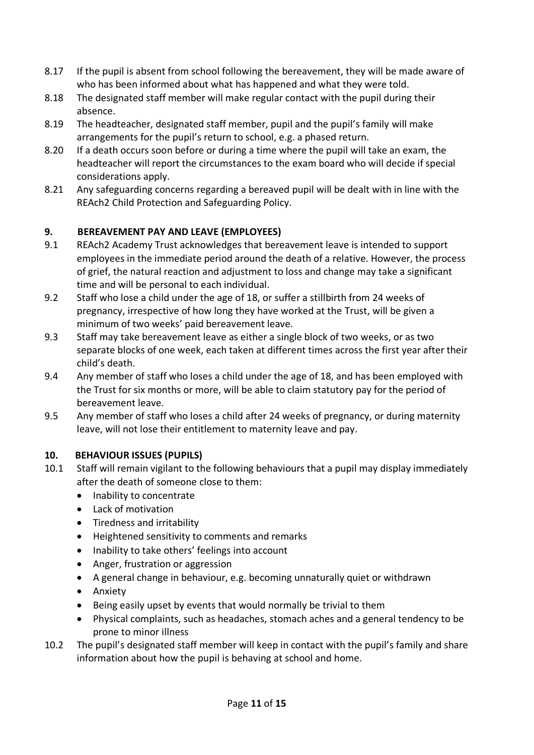- 8.17 If the pupil is absent from school following the bereavement, they will be made aware of who has been informed about what has happened and what they were told.
- 8.18 The designated staff member will make regular contact with the pupil during their absence.
- 8.19 The headteacher, designated staff member, pupil and the pupil's family will make arrangements for the pupil's return to school, e.g. a phased return.
- 8.20 If a death occurs soon before or during a time where the pupil will take an exam, the headteacher will report the circumstances to the exam board who will decide if special considerations apply.
- 8.21 Any safeguarding concerns regarding a bereaved pupil will be dealt with in line with the REAch2 Child Protection and Safeguarding Policy.

# **9. BEREAVEMENT PAY AND LEAVE (EMPLOYEES)**

- 9.1 REAch2 Academy Trust acknowledges that bereavement leave is intended to support employees in the immediate period around the death of a relative. However, the process of grief, the natural reaction and adjustment to loss and change may take a significant time and will be personal to each individual.
- 9.2 Staff who lose a child under the age of 18, or suffer a stillbirth from 24 weeks of pregnancy, irrespective of how long they have worked at the Trust, will be given a minimum of two weeks' paid bereavement leave.
- 9.3 Staff may take bereavement leave as either a single block of two weeks, or as two separate blocks of one week, each taken at different times across the first year after their child's death.
- 9.4 Any member of staff who loses a child under the age of 18, and has been employed with the Trust for six months or more, will be able to claim statutory pay for the period of bereavement leave.
- 9.5 Any member of staff who loses a child after 24 weeks of pregnancy, or during maternity leave, will not lose their entitlement to maternity leave and pay.

# **10. BEHAVIOUR ISSUES (PUPILS)**

- 10.1 Staff will remain vigilant to the following behaviours that a pupil may display immediately after the death of someone close to them:
	- Inability to concentrate
	- Lack of motivation
	- Tiredness and irritability
	- Heightened sensitivity to comments and remarks
	- Inability to take others' feelings into account
	- Anger, frustration or aggression
	- A general change in behaviour, e.g. becoming unnaturally quiet or withdrawn
	- Anxiety
	- Being easily upset by events that would normally be trivial to them
	- Physical complaints, such as headaches, stomach aches and a general tendency to be prone to minor illness
- 10.2 The pupil's designated staff member will keep in contact with the pupil's family and share information about how the pupil is behaving at school and home.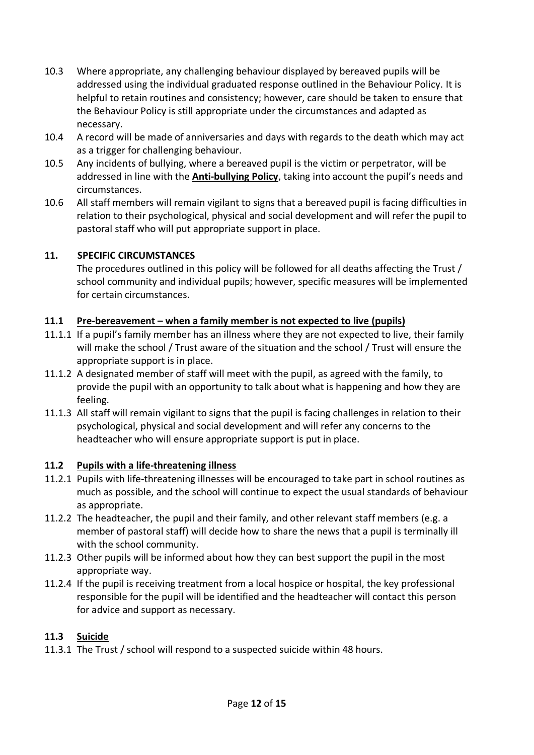- 10.3 Where appropriate, any challenging behaviour displayed by bereaved pupils will be addressed using the individual graduated response outlined in the Behaviour Policy. It is helpful to retain routines and consistency; however, care should be taken to ensure that the Behaviour Policy is still appropriate under the circumstances and adapted as necessary.
- 10.4 A record will be made of anniversaries and days with regards to the death which may act as a trigger for challenging behaviour.
- 10.5 Any incidents of bullying, where a bereaved pupil is the victim or perpetrator, will be addressed in line with the **Anti-bullying Policy**, taking into account the pupil's needs and circumstances.
- 10.6 All staff members will remain vigilant to signs that a bereaved pupil is facing difficulties in relation to their psychological, physical and social development and will refer the pupil to pastoral staff who will put appropriate support in place.

# **11. SPECIFIC CIRCUMSTANCES**

The procedures outlined in this policy will be followed for all deaths affecting the Trust / school community and individual pupils; however, specific measures will be implemented for certain circumstances.

# **11.1 Pre-bereavement – when a family member is not expected to live (pupils)**

- 11.1.1 If a pupil's family member has an illness where they are not expected to live, their family will make the school / Trust aware of the situation and the school / Trust will ensure the appropriate support is in place.
- 11.1.2 A designated member of staff will meet with the pupil, as agreed with the family, to provide the pupil with an opportunity to talk about what is happening and how they are feeling.
- 11.1.3 All staff will remain vigilant to signs that the pupil is facing challenges in relation to their psychological, physical and social development and will refer any concerns to the headteacher who will ensure appropriate support is put in place.

#### **11.2 Pupils with a life-threatening illness**

- 11.2.1 Pupils with life-threatening illnesses will be encouraged to take part in school routines as much as possible, and the school will continue to expect the usual standards of behaviour as appropriate.
- 11.2.2 The headteacher, the pupil and their family, and other relevant staff members (e.g. a member of pastoral staff) will decide how to share the news that a pupil is terminally ill with the school community.
- 11.2.3 Other pupils will be informed about how they can best support the pupil in the most appropriate way.
- 11.2.4 If the pupil is receiving treatment from a local hospice or hospital, the key professional responsible for the pupil will be identified and the headteacher will contact this person for advice and support as necessary.

#### **11.3 Suicide**

11.3.1 The Trust / school will respond to a suspected suicide within 48 hours.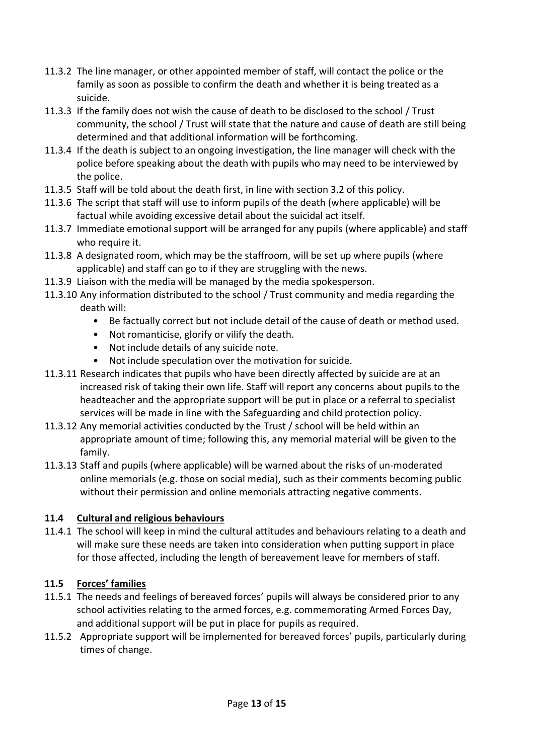- 11.3.2 The line manager, or other appointed member of staff, will contact the police or the family as soon as possible to confirm the death and whether it is being treated as a suicide.
- 11.3.3 If the family does not wish the cause of death to be disclosed to the school / Trust community, the school / Trust will state that the nature and cause of death are still being determined and that additional information will be forthcoming.
- 11.3.4 If the death is subject to an ongoing investigation, the line manager will check with the police before speaking about the death with pupils who may need to be interviewed by the police.
- 11.3.5 Staff will be told about the death first, in line with section 3.2 of this policy.
- 11.3.6 The script that staff will use to inform pupils of the death (where applicable) will be factual while avoiding excessive detail about the suicidal act itself.
- 11.3.7 Immediate emotional support will be arranged for any pupils (where applicable) and staff who require it.
- 11.3.8 A designated room, which may be the staffroom, will be set up where pupils (where applicable) and staff can go to if they are struggling with the news.
- 11.3.9 Liaison with the media will be managed by the media spokesperson.
- 11.3.10 Any information distributed to the school / Trust community and media regarding the death will:
	- Be factually correct but not include detail of the cause of death or method used.
	- Not romanticise, glorify or vilify the death.
	- Not include details of any suicide note.
	- Not include speculation over the motivation for suicide.
- 11.3.11 Research indicates that pupils who have been directly affected by suicide are at an increased risk of taking their own life. Staff will report any concerns about pupils to the headteacher and the appropriate support will be put in place or a referral to specialist services will be made in line with the Safeguarding and child protection policy.
- 11.3.12 Any memorial activities conducted by the Trust / school will be held within an appropriate amount of time; following this, any memorial material will be given to the family.
- 11.3.13 Staff and pupils (where applicable) will be warned about the risks of un-moderated online memorials (e.g. those on social media), such as their comments becoming public without their permission and online memorials attracting negative comments.

# **11.4 Cultural and religious behaviours**

11.4.1 The school will keep in mind the cultural attitudes and behaviours relating to a death and will make sure these needs are taken into consideration when putting support in place for those affected, including the length of bereavement leave for members of staff.

# **11.5 Forces' families**

- 11.5.1 The needs and feelings of bereaved forces' pupils will always be considered prior to any school activities relating to the armed forces, e.g. commemorating Armed Forces Day, and additional support will be put in place for pupils as required.
- 11.5.2 Appropriate support will be implemented for bereaved forces' pupils, particularly during times of change.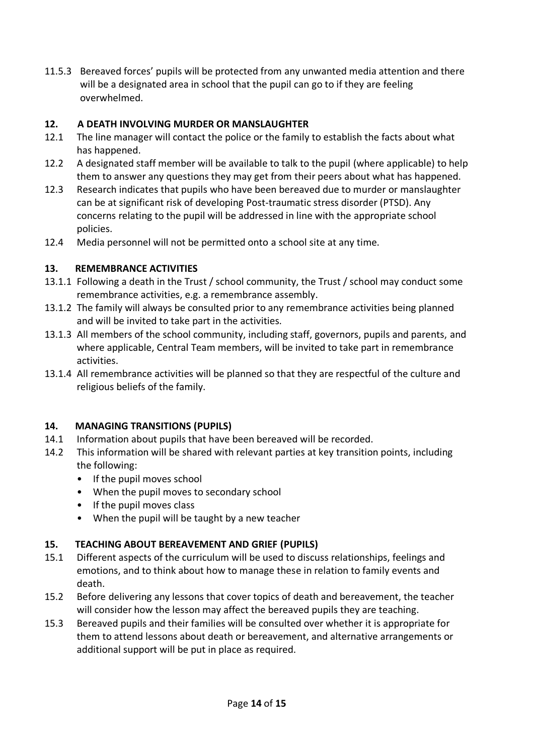11.5.3 Bereaved forces' pupils will be protected from any unwanted media attention and there will be a designated area in school that the pupil can go to if they are feeling overwhelmed.

# **12. A DEATH INVOLVING MURDER OR MANSLAUGHTER**

- 12.1 The line manager will contact the police or the family to establish the facts about what has happened.
- 12.2 A designated staff member will be available to talk to the pupil (where applicable) to help them to answer any questions they may get from their peers about what has happened.
- 12.3 Research indicates that pupils who have been bereaved due to murder or manslaughter can be at significant risk of developing Post-traumatic stress disorder (PTSD). Any concerns relating to the pupil will be addressed in line with the appropriate school policies.
- 12.4 Media personnel will not be permitted onto a school site at any time.

# **13. REMEMBRANCE ACTIVITIES**

- 13.1.1 Following a death in the Trust / school community, the Trust / school may conduct some remembrance activities, e.g. a remembrance assembly.
- 13.1.2 The family will always be consulted prior to any remembrance activities being planned and will be invited to take part in the activities.
- 13.1.3 All members of the school community, including staff, governors, pupils and parents, and where applicable, Central Team members, will be invited to take part in remembrance activities.
- 13.1.4 All remembrance activities will be planned so that they are respectful of the culture and religious beliefs of the family.

#### **14. MANAGING TRANSITIONS (PUPILS)**

- 14.1 Information about pupils that have been bereaved will be recorded.
- 14.2 This information will be shared with relevant parties at key transition points, including the following:
	- If the pupil moves school
	- When the pupil moves to secondary school
	- If the pupil moves class
	- When the pupil will be taught by a new teacher

#### **15. TEACHING ABOUT BEREAVEMENT AND GRIEF (PUPILS)**

- 15.1 Different aspects of the curriculum will be used to discuss relationships, feelings and emotions, and to think about how to manage these in relation to family events and death.
- 15.2 Before delivering any lessons that cover topics of death and bereavement, the teacher will consider how the lesson may affect the bereaved pupils they are teaching.
- 15.3 Bereaved pupils and their families will be consulted over whether it is appropriate for them to attend lessons about death or bereavement, and alternative arrangements or additional support will be put in place as required.